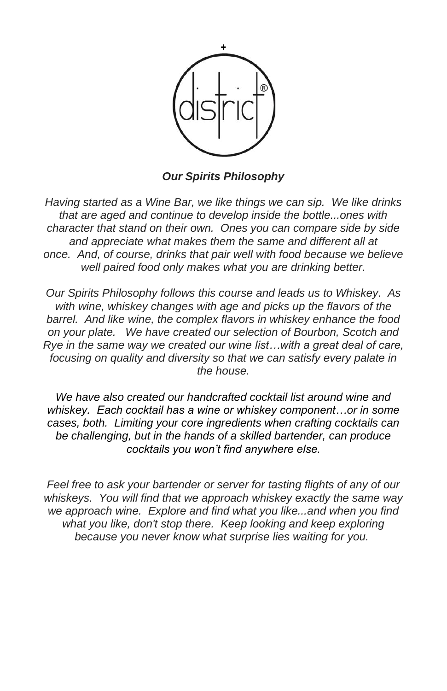

*Our Spirits Philosophy*

*Having started as a Wine Bar, we like things we can sip. We like drinks that are aged and continue to develop inside the bottle...ones with character that stand on their own. Ones you can compare side by side and appreciate what makes them the same and different all at once. And, of course, drinks that pair well with food because we believe well paired food only makes what you are drinking better.*

*Our Spirits Philosophy follows this course and leads us to Whiskey. As with wine, whiskey changes with age and picks up the flavors of the barrel. And like wine, the complex flavors in whiskey enhance the food on your plate. We have created our selection of Bourbon, Scotch and Rye in the same way we created our wine list…with a great deal of care, focusing on quality and diversity so that we can satisfy every palate in the house.*

*We have also created our handcrafted cocktail list around wine and whiskey. Each cocktail has a wine or whiskey component…or in some cases, both. Limiting your core ingredients when crafting cocktails can be challenging, but in the hands of a skilled bartender, can produce cocktails you won't find anywhere else.*

*Feel free to ask your bartender or server for tasting flights of any of our whiskeys. You will find that we approach whiskey exactly the same way we approach wine. Explore and find what you like...and when you find what you like, don't stop there. Keep looking and keep exploring because you never know what surprise lies waiting for you.*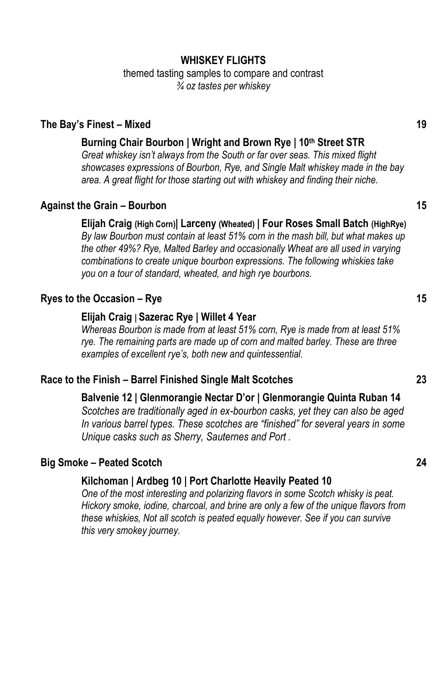### **WHISKEY FLIGHTS**

themed tasting samples to compare and contrast *¾ oz tastes per whiskey*

#### **The Bay's Finest – Mixed 19**

### **Burning Chair Bourbon | Wright and Brown Rye | 10th Street STR**

*Great whiskey isn't always from the South or far over seas. This mixed flight showcases expressions of Bourbon, Rye, and Single Malt whiskey made in the bay area. A great flight for those starting out with whiskey and finding their niche.*

#### **Against the Grain – Bourbon 15**

**Elijah Craig (High Corn)| Larceny (Wheated) | Four Roses Small Batch (HighRye)** *By law Bourbon must contain at least 51% corn in the mash bill, but what makes up the other 49%? Rye, Malted Barley and occasionally Wheat are all used in varying combinations to create unique bourbon expressions. The following whiskies take you on a tour of standard, wheated, and high rye bourbons.*

### **Ryes to the Occasion – Rye 15**

#### **Elijah Craig | Sazerac Rye | Willet 4 Year**

*Whereas Bourbon is made from at least 51% corn, Rye is made from at least 51% rye. The remaining parts are made up of corn and malted barley. These are three examples of excellent rye's, both new and quintessential.* 

### **Race to the Finish – Barrel Finished Single Malt Scotches 23**

**Balvenie 12 | Glenmorangie Nectar D'or | Glenmorangie Quinta Ruban 14** *Scotches are traditionally aged in ex-bourbon casks, yet they can also be aged In various barrel types. These scotches are "finished" for several years in some Unique casks such as Sherry, Sauternes and Port .*

#### **Big Smoke – Peated Scotch 24**

#### **Kilchoman | Ardbeg 10 | Port Charlotte Heavily Peated 10**

*One of the most interesting and polarizing flavors in some Scotch whisky is peat. Hickory smoke, iodine, charcoal, and brine are only a few of the unique flavors from these whiskies, Not all scotch is peated equally however. See if you can survive this very smokey journey.*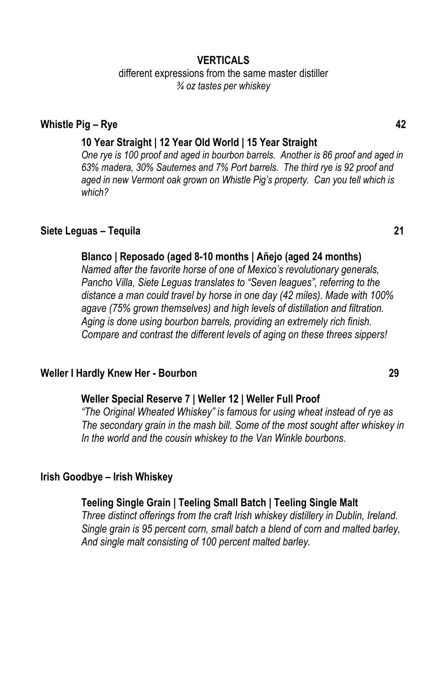### **VERTICALS**

different expressions from the same master distiller *¾ oz tastes per whiskey*

#### **Whistle Pig – Rye 42**

#### **10 Year Straight | 12 Year Old World | 15 Year Straight**

*One rye is 100 proof and aged in bourbon barrels. Another is 86 proof and aged in 63% madera, 30% Sauternes and 7% Port barrels. The third rye is 92 proof and aged in new Vermont oak grown on Whistle Pig's property. Can you tell which is which?*

### **Siete Leguas – Tequila 21**

#### **Blanco | Reposado (aged 8-10 months | Añejo (aged 24 months)**

*Named after the favorite horse of one of Mexico's revolutionary generals, Pancho Villa, Siete Leguas translates to "Seven leagues", referring to the distance a man could travel by horse in one day (42 miles). Made with 100% agave (75% grown themselves) and high levels of distillation and filtration. Aging is done using bourbon barrels, providing an extremely rich finish. Compare and contrast the different levels of aging on these threes sippers!*

#### **Weller I Hardly Knew Her - Bourbon 29**

#### **Weller Special Reserve 7 | Weller 12 | Weller Full Proof**

*"The Original Wheated Whiskey" is famous for using wheat instead of rye as The secondary grain in the mash bill. Some of the most sought after whiskey in In the world and the cousin whiskey to the Van Winkle bourbons.* 

#### **Irish Goodbye – Irish Whiskey**

#### **Teeling Single Grain | Teeling Small Batch | Teeling Single Malt**

*Three distinct offerings from the craft Irish whiskey distillery in Dublin, Ireland. Single grain is 95 percent corn, small batch a blend of corn and malted barley, And single malt consisting of 100 percent malted barley.*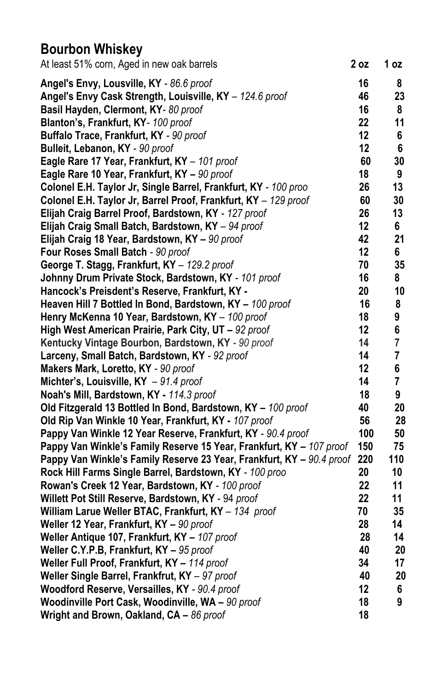# **Bourbon Whiskey**

| At least 51% corn, Aged in new oak barrels                            | 2 oz | 1 oz |
|-----------------------------------------------------------------------|------|------|
| Angel's Envy, Lousville, KY - 86.6 proof                              | 16   | 8    |
| Angel's Envy Cask Strength, Louisville, KY - 124.6 proof              | 46   | 23   |
| Basil Hayden, Clermont, KY-80 proof                                   | 16   | 8    |
| Blanton's, Frankfurt, KY- 100 proof                                   | 22   | 11   |
| Buffalo Trace, Frankfurt, KY - 90 proof                               | 12   | 6    |
| Bulleit, Lebanon, KY - 90 proof                                       | 12   | 6    |
| Eagle Rare 17 Year, Frankfurt, KY - 101 proof                         | 60   | 30   |
| Eagle Rare 10 Year, Frankfurt, KY - 90 proof                          | 18   | 9    |
| Colonel E.H. Taylor Jr, Single Barrel, Frankfurt, KY - 100 proo       | 26   | 13   |
| Colonel E.H. Taylor Jr, Barrel Proof, Frankfurt, KY - 129 proof       | 60   | 30   |
| Elijah Craig Barrel Proof, Bardstown, KY - 127 proof                  | 26   | 13   |
| Elijah Craig Small Batch, Bardstown, KY - 94 proof                    | 12   | 6    |
| Elijah Craig 18 Year, Bardstown, KY - 90 proof                        | 42   | 21   |
| Four Roses Small Batch - 90 proof                                     | 12   | 6    |
| George T. Stagg, Frankfurt, KY - 129.2 proof                          | 70   | 35   |
| Johnny Drum Private Stock, Bardstown, KY - 101 proof                  | 16   | 8    |
| Hancock's Preisdent's Reserve, Frankfurt, KY -                        | 20   | 10   |
| Heaven Hill 7 Bottled In Bond, Bardstown, KY - 100 proof              | 16   | 8    |
| Henry McKenna 10 Year, Bardstown, KY - 100 proof                      | 18   | 9    |
| High West American Prairie, Park City, UT - 92 proof                  | 12   | 6    |
| Kentucky Vintage Bourbon, Bardstown, KY - 90 proof                    | 14   | 7    |
| Larceny, Small Batch, Bardstown, KY - 92 proof                        | 14   | 7    |
| Makers Mark, Loretto, KY - 90 proof                                   | 12   | 6    |
| Michter's, Louisville, $KY - 91.4$ proof                              | 14   | 7    |
| Noah's Mill, Bardstown, KY - 114.3 proof                              | 18   | 9    |
| Old Fitzgerald 13 Bottled In Bond, Bardstown, KY - 100 proof          | 40   | 20   |
| Old Rip Van Winkle 10 Year, Frankfurt, KY - 107 proof                 | 56   | 28   |
| Pappy Van Winkle 12 Year Reserve, Frankfurt, KY - 90.4 proof          | 100  | 50   |
| Pappy Van Winkle's Family Reserve 15 Year, Frankfurt, KY - 107 proof  | 150  | 75   |
| Pappy Van Winkle's Family Reserve 23 Year, Frankfurt, KY - 90.4 proof | 220  | 110  |
| Rock Hill Farms Single Barrel, Bardstown, KY - 100 proo               | 20   | 10   |
| Rowan's Creek 12 Year, Bardstown, KY - 100 proof                      | 22   | 11   |
| Willett Pot Still Reserve, Bardstown, KY - 94 proof                   | 22   | 11   |
| William Larue Weller BTAC, Frankfurt, KY - 134 proof                  | 70   | 35   |
| Weller 12 Year, Frankfurt, KY - 90 proof                              | 28   | 14   |
| Weller Antique 107, Frankfurt, KY - 107 proof                         | 28   | 14   |
| Weller C.Y.P.B, Frankfurt, KY - 95 proof                              | 40   | 20   |
| Weller Full Proof, Frankfurt, KY - 114 proof                          | 34   | 17   |
| Weller Single Barrel, Frankfrut, KY - 97 proof                        | 40   | 20   |
| Woodford Reserve, Versailles, KY - 90.4 proof                         | 12   | 6    |
| Woodinville Port Cask, Woodinville, WA - 90 proof                     | 18   | 9    |
| Wright and Brown, Oakland, CA - 86 proof                              | 18   |      |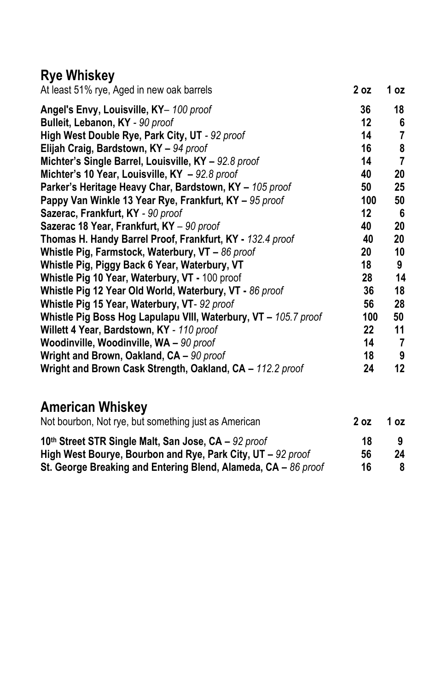# **Rye Whiskey**

| At least 51% rye, Aged in new oak barrels                       | 2 oz    | 1 oz |
|-----------------------------------------------------------------|---------|------|
| Angel's Envy, Louisville, KY- 100 proof                         | 36      | 18   |
| Bulleit, Lebanon, KY - 90 proof                                 | $12 \,$ | 6    |
| High West Double Rye, Park City, UT - 92 proof                  | 14      | 7    |
| Elijah Craig, Bardstown, KY - 94 proof                          | 16      | 8    |
| Michter's Single Barrel, Louisville, KY - 92.8 proof            | 14      | 7    |
| Michter's 10 Year, Louisville, KY - 92.8 proof                  | 40      | 20   |
| Parker's Heritage Heavy Char, Bardstown, KY - 105 proof         | 50      | 25   |
| Pappy Van Winkle 13 Year Rye, Frankfurt, KY - 95 proof          | 100     | 50   |
| Sazerac, Frankfurt, KY - 90 proof                               | $12 \,$ | 6    |
| Sazerac 18 Year, Frankfurt, KY - 90 proof                       | 40      | 20   |
| Thomas H. Handy Barrel Proof, Frankfurt, KY - 132.4 proof       | 40      | 20   |
| Whistle Pig, Farmstock, Waterbury, VT $-86$ proof               | 20      | 10   |
| Whistle Pig, Piggy Back 6 Year, Waterbury, VT                   | 18      | 9    |
| Whistle Pig 10 Year, Waterbury, VT - 100 proof                  | 28      | 14   |
| Whistle Pig 12 Year Old World, Waterbury, VT - 86 proof         | 36      | 18   |
| Whistle Pig 15 Year, Waterbury, VT- 92 proof                    | 56      | 28   |
| Whistle Pig Boss Hog Lapulapu VIII, Waterbury, VT - 105.7 proof | 100     | 50   |
| Willett 4 Year, Bardstown, KY - 110 proof                       | 22      | 11   |
| Woodinville, Woodinville, WA - 90 proof                         | 14      | 7    |
| Wright and Brown, Oakland, CA - 90 proof                        | 18      | 9    |
| Wright and Brown Cask Strength, Oakland, CA - 112.2 proof       | 24      | 12   |

# **American Whiskey**

| Not bourbon, Not rye, but something just as American             |    | 1 oz |
|------------------------------------------------------------------|----|------|
| 10th Street STR Single Malt, San Jose, CA - 92 proof             | 18 |      |
| High West Bourye, Bourbon and Rye, Park City, UT - 92 proof      | 56 | 24   |
| St. George Breaking and Entering Blend, Alameda, $CA - 86$ proof | 16 | 8    |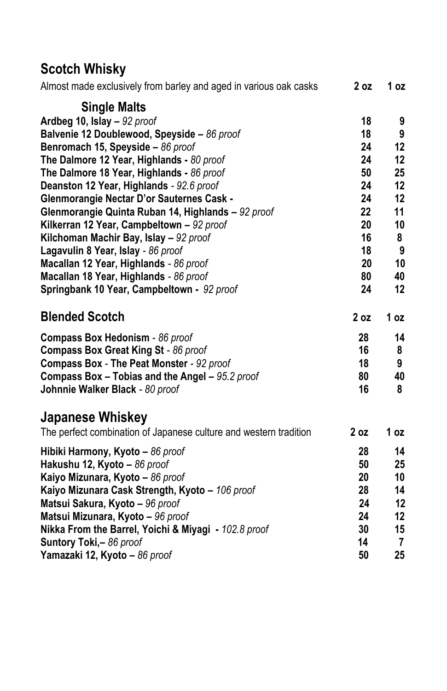# **Scotch Whisky**

| Almost made exclusively from barley and aged in various oak casks | 2 oz            | 1 oz           |
|-------------------------------------------------------------------|-----------------|----------------|
| <b>Single Malts</b>                                               |                 |                |
| Ardbeg 10, Islay $-92$ proof                                      | 18              | 9              |
| Balvenie 12 Doublewood, Speyside - 86 proof                       | 18              | 9              |
| Benromach 15, Speyside - 86 proof                                 | 24              | 12             |
| The Dalmore 12 Year, Highlands - 80 proof                         | 24              | 12             |
| The Dalmore 18 Year, Highlands - 86 proof                         | 50              | 25             |
| Deanston 12 Year, Highlands - 92.6 proof                          | 24              | 12             |
| Glenmorangie Nectar D'or Sauternes Cask -                         | 24              | 12             |
| Glenmorangie Quinta Ruban 14, Highlands - 92 proof                | 22              | 11             |
| Kilkerran 12 Year, Campbeltown - 92 proof                         | 20              | 10             |
| Kilchoman Machir Bay, Islay - 92 proof                            | 16              | 8              |
| Lagavulin 8 Year, Islay - 86 proof                                | 18              | 9              |
| Macallan 12 Year, Highlands - 86 proof                            | 20              | 10             |
| Macallan 18 Year, Highlands - 86 proof                            | 80              | 40             |
| Springbank 10 Year, Campbeltown - 92 proof                        | 24              | 12             |
| <b>Blended Scotch</b>                                             | 2 <sub>oz</sub> | 1 $oz$         |
| Compass Box Hedonism - 86 proof                                   | 28              | 14             |
| Compass Box Great King St - 86 proof                              | 16              | 8              |
| Compass Box - The Peat Monster - 92 proof                         | 18              | 9              |
| <b>Compass Box - Tobias and the Angel - 95.2 proof</b>            | 80              | 40             |
| Johnnie Walker Black - 80 proof                                   | 16              | 8              |
| <b>Japanese Whiskey</b>                                           |                 |                |
| The perfect combination of Japanese culture and western tradition | 2 <sub>oz</sub> | 1 oz           |
| Hibiki Harmony, Kyoto - 86 proof                                  | 28              | 14             |
| Hakushu 12, Kyoto - 86 proof                                      | 50              | 25             |
| Kaiyo Mizunara, Kyoto - 86 proof                                  | 20              | 10             |
| Kaiyo Mizunara Cask Strength, Kyoto - 106 proof                   | 28              | 14             |
| Matsui Sakura, Kyoto - 96 proof                                   | 24              | 12             |
| Matsui Mizunara, Kyoto - 96 proof                                 | 24              | 12             |
| Nikka From the Barrel, Yoichi & Miyagi - 102.8 proof              | 30              | 15             |
| Suntory Toki,- 86 proof                                           | 14              | $\overline{7}$ |
| Yamazaki 12, Kyoto - 86 proof                                     | 50              | 25             |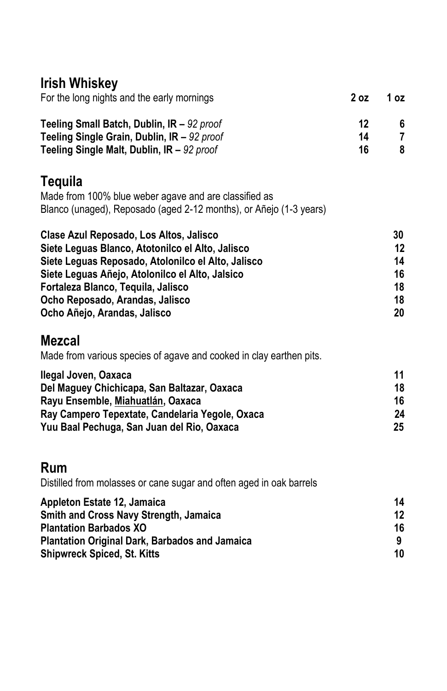# **Irish Whiskey**

| For the long nights and the early mornings                                                                                                                                                                                                                                                                    | 2 <sub>oz</sub> | 1 <sub>oz</sub>                        |
|---------------------------------------------------------------------------------------------------------------------------------------------------------------------------------------------------------------------------------------------------------------------------------------------------------------|-----------------|----------------------------------------|
| Teeling Small Batch, Dublin, IR - 92 proof<br>Teeling Single Grain, Dublin, IR - 92 proof<br>Teeling Single Malt, Dublin, IR - 92 proof                                                                                                                                                                       | 12<br>14<br>16  | 6<br>$\overline{7}$<br>8               |
| <b>Tequila</b><br>Made from 100% blue weber agave and are classified as<br>Blanco (unaged), Reposado (aged 2-12 months), or Añejo (1-3 years)                                                                                                                                                                 |                 |                                        |
| Clase Azul Reposado, Los Altos, Jalisco<br>Siete Leguas Blanco, Atotonilco el Alto, Jalisco<br>Siete Leguas Reposado, Atolonilco el Alto, Jalisco<br>Siete Leguas Añejo, Atolonilco el Alto, Jalsico<br>Fortaleza Blanco, Tequila, Jalisco<br>Ocho Reposado, Arandas, Jalisco<br>Ocho Añejo, Arandas, Jalisco |                 | 30<br>12<br>14<br>16<br>18<br>18<br>20 |
| <b>Mezcal</b><br>Made from various species of agave and cooked in clay earthen pits.                                                                                                                                                                                                                          |                 |                                        |
| Ilegal Joven, Oaxaca<br>Del Maguey Chichicapa, San Baltazar, Oaxaca<br>Rayu Ensemble, Miahuatlán, Oaxaca<br>Ray Campero Tepextate, Candelaria Yegole, Oxaca<br>Yuu Baal Pechuga, San Juan del Rio, Oaxaca                                                                                                     |                 | 11<br>18<br>16<br>24<br>25             |
| Rum<br>Distilled from molasses or cane sugar and often aged in oak barrels                                                                                                                                                                                                                                    |                 |                                        |
| Appleton Estate 12, Jamaica<br>Smith and Cross Navy Strength, Jamaica<br><b>Plantation Barbados XO</b><br><b>Plantation Original Dark, Barbados and Jamaica</b><br><b>Shipwreck Spiced, St. Kitts</b>                                                                                                         |                 | 14<br>12<br>16<br>9<br>10              |

**Shipwreck Spiced, St. Kitts**